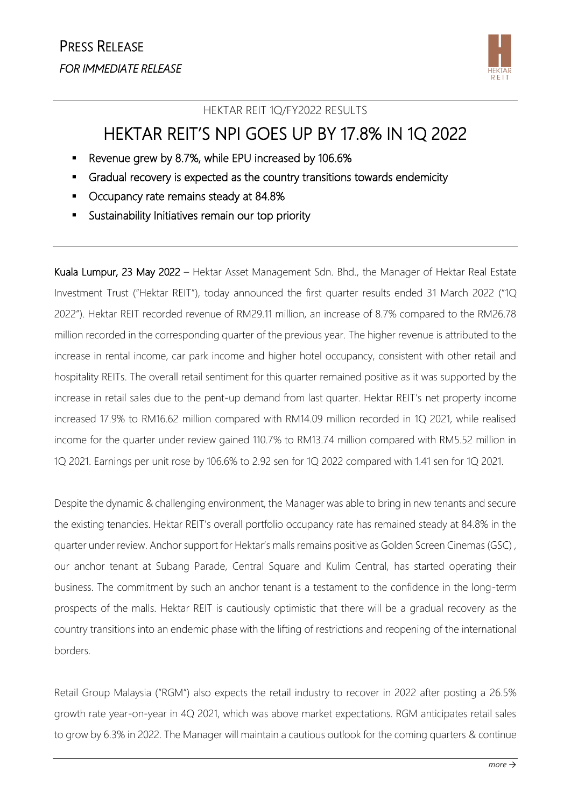

## HEKTAR REIT 1Q/FY2022 RESULTS

## HEKTAR REIT'S NPI GOES UP BY 17.8% IN 1Q 2022

- Revenue grew by 8.7%, while EPU increased by 106.6%
- Gradual recovery is expected as the country transitions towards endemicity
- Occupancy rate remains steady at 84.8%
- Sustainability Initiatives remain our top priority

Kuala Lumpur, 23 May 2022 – Hektar Asset Management Sdn. Bhd., the Manager of Hektar Real Estate Investment Trust ("Hektar REIT"), today announced the first quarter results ended 31 March 2022 ("1Q 2022"). Hektar REIT recorded revenue of RM29.11 million, an increase of 8.7% compared to the RM26.78 million recorded in the corresponding quarter of the previous year. The higher revenue is attributed to the increase in rental income, car park income and higher hotel occupancy, consistent with other retail and hospitality REITs. The overall retail sentiment for this quarter remained positive as it was supported by the increase in retail sales due to the pent-up demand from last quarter. Hektar REIT's net property income increased 17.9% to RM16.62 million compared with RM14.09 million recorded in 1Q 2021, while realised income for the quarter under review gained 110.7% to RM13.74 million compared with RM5.52 million in 1Q 2021. Earnings per unit rose by 106.6% to 2.92 sen for 1Q 2022 compared with 1.41 sen for 1Q 2021.

Despite the dynamic & challenging environment, the Manager was able to bring in new tenants and secure the existing tenancies. Hektar REIT's overall portfolio occupancy rate has remained steady at 84.8% in the quarter under review. Anchor support for Hektar's malls remains positive as Golden Screen Cinemas (GSC) , our anchor tenant at Subang Parade, Central Square and Kulim Central, has started operating their business. The commitment by such an anchor tenant is a testament to the confidence in the long-term prospects of the malls. Hektar REIT is cautiously optimistic that there will be a gradual recovery as the country transitions into an endemic phase with the lifting of restrictions and reopening of the international borders.

Retail Group Malaysia ("RGM") also expects the retail industry to recover in 2022 after posting a 26.5% growth rate year-on-year in 4Q 2021, which was above market expectations. RGM anticipates retail sales to grow by 6.3% in 2022. The Manager will maintain a cautious outlook for the coming quarters & continue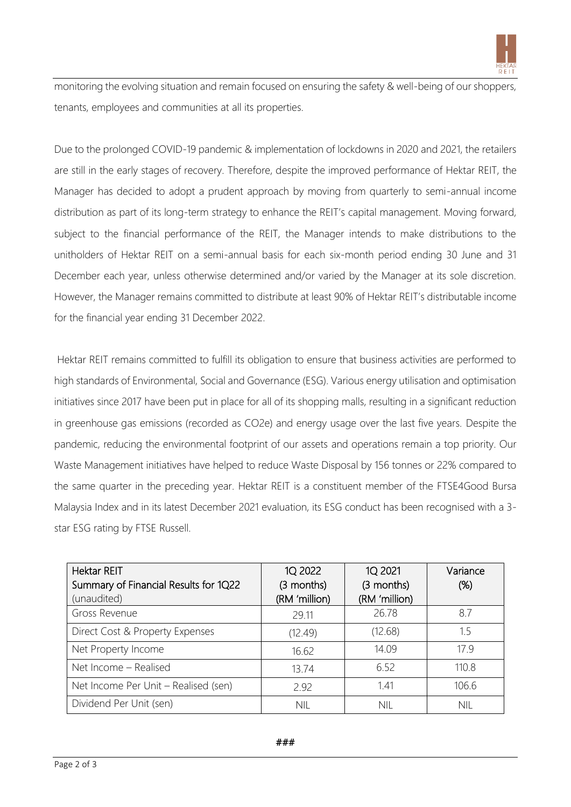

monitoring the evolving situation and remain focused on ensuring the safety & well-being of our shoppers, tenants, employees and communities at all its properties.

Due to the prolonged COVID-19 pandemic & implementation of lockdowns in 2020 and 2021, the retailers are still in the early stages of recovery. Therefore, despite the improved performance of Hektar REIT, the Manager has decided to adopt a prudent approach by moving from quarterly to semi-annual income distribution as part of its long-term strategy to enhance the REIT's capital management. Moving forward, subject to the financial performance of the REIT, the Manager intends to make distributions to the unitholders of Hektar REIT on a semi-annual basis for each six-month period ending 30 June and 31 December each year, unless otherwise determined and/or varied by the Manager at its sole discretion. However, the Manager remains committed to distribute at least 90% of Hektar REIT's distributable income for the financial year ending 31 December 2022.

Hektar REIT remains committed to fulfill its obligation to ensure that business activities are performed to high standards of Environmental, Social and Governance (ESG). Various energy utilisation and optimisation initiatives since 2017 have been put in place for all of its shopping malls, resulting in a significant reduction in greenhouse gas emissions (recorded as CO2e) and energy usage over the last five years. Despite the pandemic, reducing the environmental footprint of our assets and operations remain a top priority. Our Waste Management initiatives have helped to reduce Waste Disposal by 156 tonnes or 22% compared to the same quarter in the preceding year. Hektar REIT is a constituent member of the FTSE4Good Bursa Malaysia Index and in its latest December 2021 evaluation, its ESG conduct has been recognised with a 3 star ESG rating by FTSE Russell.

| <b>Hektar REIT</b><br>Summary of Financial Results for 1Q22<br>(unaudited) | 1Q 2022<br>(3 months)<br>(RM 'million) | 1Q 2021<br>(3 months)<br>(RM 'million) | Variance<br>(%) |
|----------------------------------------------------------------------------|----------------------------------------|----------------------------------------|-----------------|
| Gross Revenue                                                              | 29.11                                  | 26.78                                  | 8.7             |
| Direct Cost & Property Expenses                                            | (12.49)                                | (12.68)                                | 1.5             |
| Net Property Income                                                        | 16.62                                  | 14.09                                  | 17.9            |
| Net Income - Realised                                                      | 13.74                                  | 6.52                                   | 110.8           |
| Net Income Per Unit – Realised (sen)                                       | 2.92                                   | 141                                    | 106.6           |
| Dividend Per Unit (sen)                                                    | <b>NIL</b>                             | <b>NIL</b>                             | nil             |